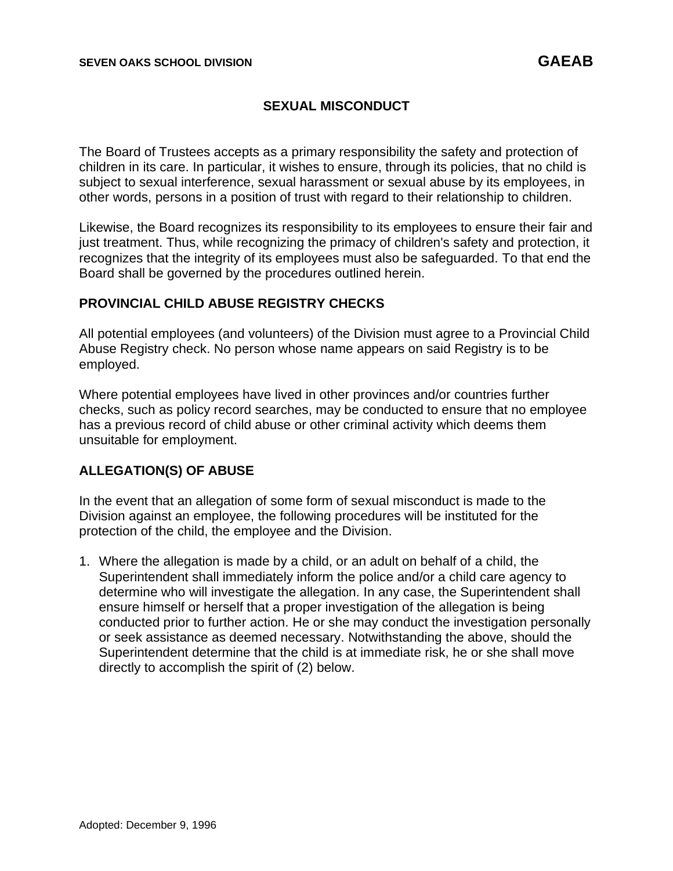## **SEXUAL MISCONDUCT**

The Board of Trustees accepts as a primary responsibility the safety and protection of children in its care. In particular, it wishes to ensure, through its policies, that no child is subject to sexual interference, sexual harassment or sexual abuse by its employees, in other words, persons in a position of trust with regard to their relationship to children.

Likewise, the Board recognizes its responsibility to its employees to ensure their fair and just treatment. Thus, while recognizing the primacy of children's safety and protection, it recognizes that the integrity of its employees must also be safeguarded. To that end the Board shall be governed by the procedures outlined herein.

## **PROVINCIAL CHILD ABUSE REGISTRY CHECKS**

All potential employees (and volunteers) of the Division must agree to a Provincial Child Abuse Registry check. No person whose name appears on said Registry is to be employed.

Where potential employees have lived in other provinces and/or countries further checks, such as policy record searches, may be conducted to ensure that no employee has a previous record of child abuse or other criminal activity which deems them unsuitable for employment.

## **ALLEGATION(S) OF ABUSE**

In the event that an allegation of some form of sexual misconduct is made to the Division against an employee, the following procedures will be instituted for the protection of the child, the employee and the Division.

1. Where the allegation is made by a child, or an adult on behalf of a child, the Superintendent shall immediately inform the police and/or a child care agency to determine who will investigate the allegation. In any case, the Superintendent shall ensure himself or herself that a proper investigation of the allegation is being conducted prior to further action. He or she may conduct the investigation personally or seek assistance as deemed necessary. Notwithstanding the above, should the Superintendent determine that the child is at immediate risk, he or she shall move directly to accomplish the spirit of (2) below.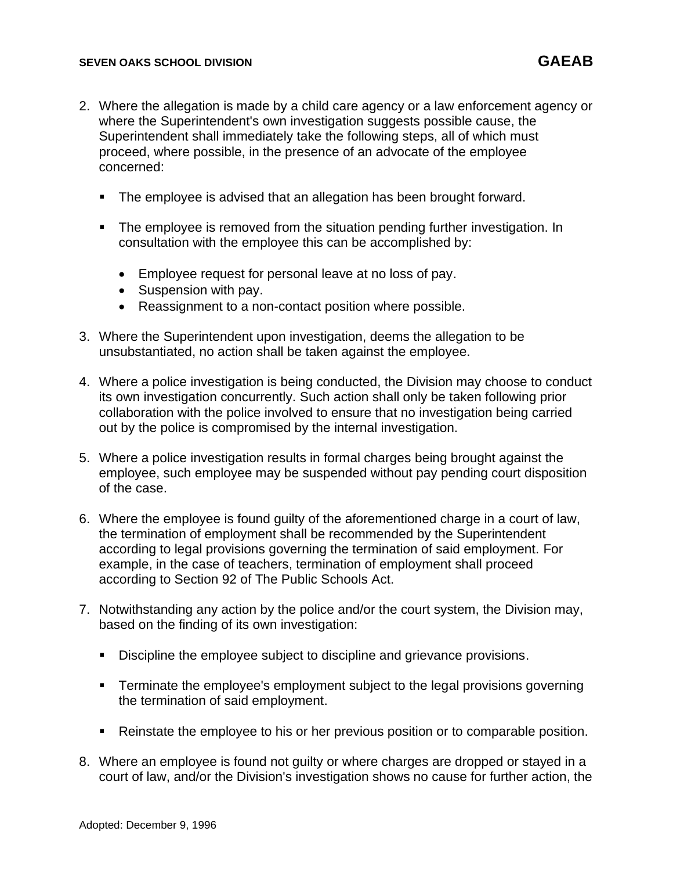- 2. Where the allegation is made by a child care agency or a law enforcement agency or where the Superintendent's own investigation suggests possible cause, the Superintendent shall immediately take the following steps, all of which must proceed, where possible, in the presence of an advocate of the employee concerned:
	- The employee is advised that an allegation has been brought forward.
	- **•** The employee is removed from the situation pending further investigation. In consultation with the employee this can be accomplished by:
		- Employee request for personal leave at no loss of pay.
		- Suspension with pay.
		- Reassignment to a non-contact position where possible.
- 3. Where the Superintendent upon investigation, deems the allegation to be unsubstantiated, no action shall be taken against the employee.
- 4. Where a police investigation is being conducted, the Division may choose to conduct its own investigation concurrently. Such action shall only be taken following prior collaboration with the police involved to ensure that no investigation being carried out by the police is compromised by the internal investigation.
- 5. Where a police investigation results in formal charges being brought against the employee, such employee may be suspended without pay pending court disposition of the case.
- 6. Where the employee is found guilty of the aforementioned charge in a court of law, the termination of employment shall be recommended by the Superintendent according to legal provisions governing the termination of said employment. For example, in the case of teachers, termination of employment shall proceed according to Section 92 of The Public Schools Act.
- 7. Notwithstanding any action by the police and/or the court system, the Division may, based on the finding of its own investigation:
	- Discipline the employee subject to discipline and grievance provisions.
	- **EXECT** Terminate the employee's employment subject to the legal provisions governing the termination of said employment.
	- Reinstate the employee to his or her previous position or to comparable position.
- 8. Where an employee is found not guilty or where charges are dropped or stayed in a court of law, and/or the Division's investigation shows no cause for further action, the